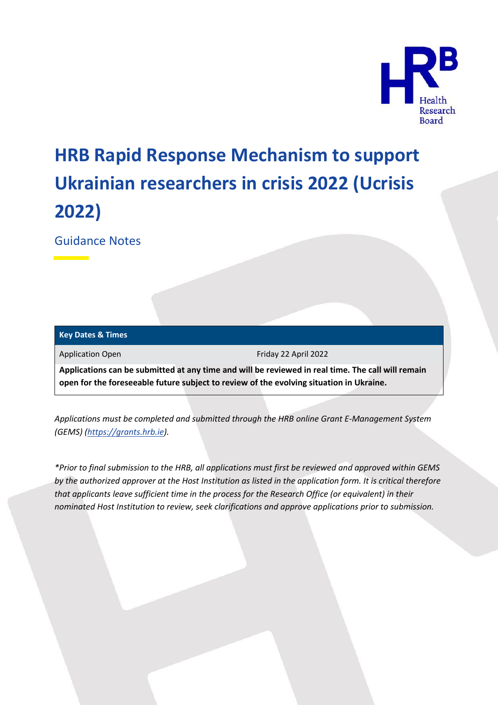

# **HRB Rapid Response Mechanism to support Ukrainian researchers in crisis 2022 (Ucrisis 2022)**

Guidance Notes

| <b>Key Dates &amp; Times</b> |                                                                                                                                                                                              |
|------------------------------|----------------------------------------------------------------------------------------------------------------------------------------------------------------------------------------------|
| <b>Application Open</b>      | Friday 22 April 2022                                                                                                                                                                         |
|                              | Applications can be submitted at any time and will be reviewed in real time. The call will remain<br>open for the foreseeable future subject to review of the evolving situation in Ukraine. |

*Applications must be completed and submitted through the HRB online Grant E-Management System (GEMS) [\(https://grants.hrb.ie\)](https://grants.hrb.ie/).*

*\*Prior to final submission to the HRB, all applications must first be reviewed and approved within GEMS by the authorized approver at the Host Institution as listed in the application form. It is critical therefore that applicants leave sufficient time in the process for the Research Office (or equivalent) in their nominated Host Institution to review, seek clarifications and approve applications prior to submission.*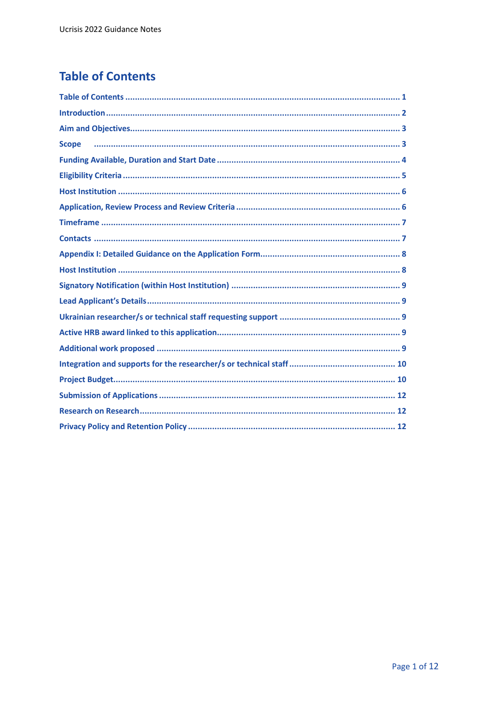# <span id="page-1-0"></span>**Table of Contents**

| <b>Scope</b> |
|--------------|
|              |
|              |
|              |
|              |
|              |
|              |
|              |
|              |
|              |
|              |
|              |
|              |
|              |
|              |
|              |
|              |
|              |
|              |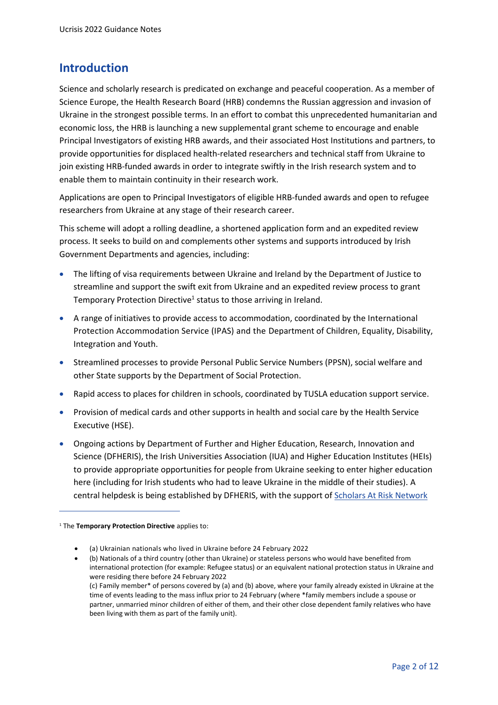#### <span id="page-2-0"></span>**Introduction**

Science and scholarly research is predicated on exchange and peaceful cooperation. As a member of Science Europe, the Health Research Board (HRB) condemns the Russian aggression and invasion of Ukraine in the strongest possible terms. In an effort to combat this unprecedented humanitarian and economic loss, the HRB is launching a new supplemental grant scheme to encourage and enable Principal Investigators of existing HRB awards, and their associated Host Institutions and partners, to provide opportunities for displaced health-related researchers and technical staff from Ukraine to join existing HRB-funded awards in order to integrate swiftly in the Irish research system and to enable them to maintain continuity in their research work.

Applications are open to Principal Investigators of eligible HRB-funded awards and open to refugee researchers from Ukraine at any stage of their research career.

This scheme will adopt a rolling deadline, a shortened application form and an expedited review process. It seeks to build on and complements other systems and supports introduced by Irish Government Departments and agencies, including:

- The lifting of visa requirements between Ukraine and Ireland by the Department of Justice to streamline and support the swift exit from Ukraine and an expedited review process to grant Temporary Protection Directive<sup>1</sup> status to those arriving in Ireland.
- A range of initiatives to provide access to accommodation, coordinated by the International Protection Accommodation Service (IPAS) and the Department of Children, Equality, Disability, Integration and Youth.
- Streamlined processes to provide Personal Public Service Numbers (PPSN), social welfare and other State supports by the Department of Social Protection.
- Rapid access to places for children in schools, coordinated by TUSLA education support service.
- Provision of medical cards and other supports in health and social care by the Health Service Executive (HSE).
- Ongoing actions by Department of Further and Higher Education, Research, Innovation and Science (DFHERIS), the Irish Universities Association (IUA) and Higher Education Institutes (HEIs) to provide appropriate opportunities for people from Ukraine seeking to enter higher education here (including for Irish students who had to leave Ukraine in the middle of their studies). A central helpdesk is being established by DFHERIS, with the support o[f Scholars At Risk Network](https://eur02.safelinks.protection.outlook.com/?url=https%3A%2F%2Fwww.scholarsatrisk.org%2F&data=04%7C01%7Cabikelly%40rcsi.ie%7C0aaa26b1ebfb4278ab8208da17ddfcb1%7C607041e7a8124670bd3030f9db210f06%7C0%7C0%7C637848539586112473%7CUnknown%7CTWFpbGZsb3d8eyJWIjoiMC4wLjAwMDAiLCJQIjoiV2luMzIiLCJBTiI6Ik1haWwiLCJXVCI6Mn0%3D%7C3000&sdata=dtNYvj%2F1lNCkiKYkNvJKisnzIPTuEI2ur1mIzSjcb5w%3D&reserved=0)

<sup>1</sup> The **Temporary Protection Directive** applies to:

<sup>•</sup> (a) Ukrainian nationals who lived in Ukraine before 24 February 2022

<sup>•</sup> (b) Nationals of a third country (other than Ukraine) or stateless persons who would have benefited from international protection (for example: Refugee status) or an equivalent national protection status in Ukraine and were residing there before 24 February 2022 (c) Family member\* of persons covered by (a) and (b) above, where your family already existed in Ukraine at the time of events leading to the mass influx prior to 24 February (where \*family members include a spouse or partner, unmarried minor children of either of them, and their other close dependent family relatives who have been living with them as part of the family unit).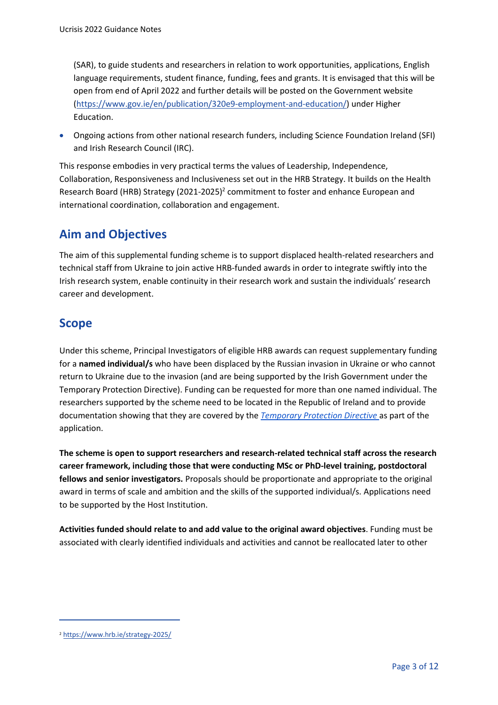(SAR), to guide students and researchers in relation to work opportunities, applications, English language requirements, student finance, funding, fees and grants. It is envisaged that this will be open from end of April 2022 and further details will be poste[d on](file:///C:/Users/oward/AppData/Local/Microsoft/Windows/INetCache/Content.Outlook/FBD2XRPP/on) the Government website [\(https://www.gov.ie/en/publication/320e9-employment-and-education/\)](https://www.gov.ie/en/publication/320e9-employment-and-education/) under Higher Education.

• Ongoing actions from other national research funders, including Science Foundation Ireland (SFI) and Irish Research Council (IRC).

This response embodies in very practical terms the values of Leadership, Independence, Collaboration, Responsiveness and Inclusiveness set out in the HRB Strategy. It builds on the Health Research Board (HRB) Strategy (2021-2025)<sup>2</sup> commitment to foster and enhance European and international coordination, collaboration and engagement.

# <span id="page-3-0"></span>**Aim and Objectives**

The aim of this supplemental funding scheme is to support displaced health-related researchers and technical staff from Ukraine to join active HRB-funded awards in order to integrate swiftly into the Irish research system, enable continuity in their research work and sustain the individuals' research career and development.

# <span id="page-3-1"></span>**Scope**

Under this scheme, Principal Investigators of eligible HRB awards can request supplementary funding for a **named individual/s** who have been displaced by the Russian invasion in Ukraine or who cannot return to Ukraine due to the invasion (and are being supported by the Irish Government under the Temporary Protection Directive). Funding can be requested for more than one named individual. The researchers supported by the scheme need to be located in the Republic of Ireland and to provide documentation showing that they are covered by the *[Temporary Protection Directive](https://eur02.safelinks.protection.outlook.com/?url=https%3A%2F%2Fwww.gov.ie%2Fen%2Fpublication%2F0f773-temporary-protection%2F&data=04%7C01%7Cabikelly%40rcsi.ie%7C0aaa26b1ebfb4278ab8208da17ddfcb1%7C607041e7a8124670bd3030f9db210f06%7C0%7C0%7C637848539586112473%7CUnknown%7CTWFpbGZsb3d8eyJWIjoiMC4wLjAwMDAiLCJQIjoiV2luMzIiLCJBTiI6Ik1haWwiLCJXVCI6Mn0%3D%7C3000&sdata=PAT%2F5lAur9K9waoEg%2B5heN%2F6JZfWEJFGMUKI67aewsc%3D&reserved=0)* as part of the application.

**The scheme is open to support researchers and research-related technical staff across the research career framework, including those that were conducting MSc or PhD-level training, postdoctoral fellows and senior investigators.** Proposals should be proportionate and appropriate to the original award in terms of scale and ambition and the skills of the supported individual/s. Applications need to be supported by the Host Institution.

**Activities funded should relate to and add value to the original award objectives**. Funding must be associated with clearly identified individuals and activities and cannot be reallocated later to other

<sup>2</sup> <https://www.hrb.ie/strategy-2025/>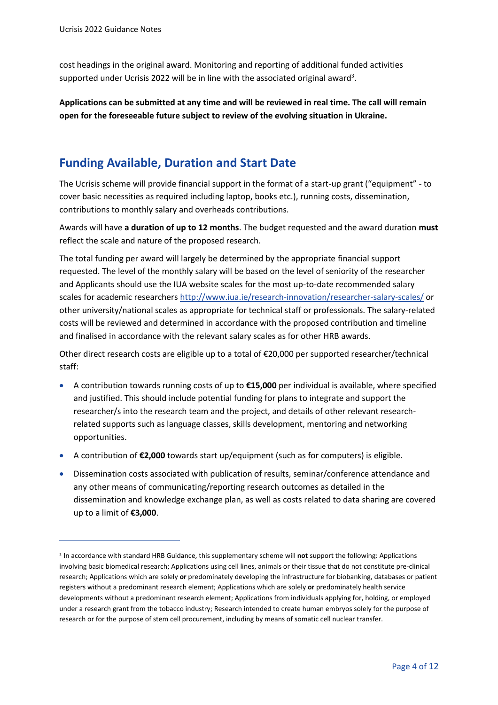cost headings in the original award. Monitoring and reporting of additional funded activities supported under Ucrisis 2022 will be in line with the associated original award<sup>3</sup>.

**Applications can be submitted at any time and will be reviewed in real time. The call will remain open for the foreseeable future subject to review of the evolving situation in Ukraine.** 

### <span id="page-4-0"></span>**Funding Available, Duration and Start Date**

The Ucrisis scheme will provide financial support in the format of a start-up grant ("equipment" - to cover basic necessities as required including laptop, books etc.), running costs, dissemination, contributions to monthly salary and overheads contributions.

Awards will have **a duration of up to 12 months**. The budget requested and the award duration **must** reflect the scale and nature of the proposed research.

The total funding per award will largely be determined by the appropriate financial support requested. The level of the monthly salary will be based on the level of seniority of the researcher and Applicants should use the IUA website scales for the most up-to-date recommended salary scales for academic researchers<http://www.iua.ie/research-innovation/researcher-salary-scales/> or other university/national scales as appropriate for technical staff or professionals. The salary-related costs will be reviewed and determined in accordance with the proposed contribution and timeline and finalised in accordance with the relevant salary scales as for other HRB awards.

Other direct research costs are eligible up to a total of €20,000 per supported researcher/technical staff:

- A contribution towards running costs of up to **€15,000** per individual is available, where specified and justified. This should include potential funding for plans to integrate and support the researcher/s into the research team and the project, and details of other relevant researchrelated supports such as language classes, skills development, mentoring and networking opportunities.
- A contribution of **€2,000** towards start up/equipment (such as for computers) is eligible.
- Dissemination costs associated with publication of results, seminar/conference attendance and any other means of communicating/reporting research outcomes as detailed in the dissemination and knowledge exchange plan, as well as costs related to data sharing are covered up to a limit of **€3,000**.

<sup>3</sup> In accordance with standard HRB Guidance, this supplementary scheme will **not** support the following: Applications involving basic biomedical research; Applications using cell lines, animals or their tissue that do not constitute pre-clinical research; Applications which are solely **or** predominately developing the infrastructure for biobanking, databases or patient registers without a predominant research element; Applications which are solely **or** predominately health service developments without a predominant research element; Applications from individuals applying for, holding, or employed under a research grant from the tobacco industry; Research intended to create human embryos solely for the purpose of research or for the purpose of stem cell procurement, including by means of somatic cell nuclear transfer.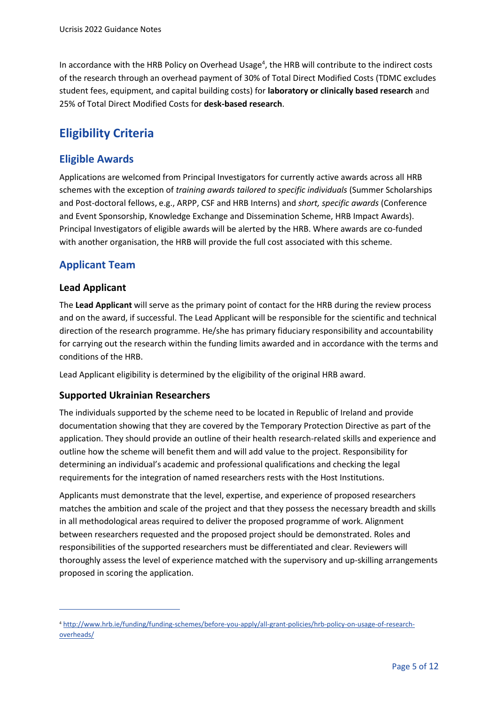In accordance with the HRB Policy on Overhead Usage<sup>4</sup>, the HRB will contribute to the indirect costs of the research through an overhead payment of 30% of Total Direct Modified Costs (TDMC excludes student fees, equipment, and capital building costs) for **laboratory or clinically based research** and 25% of Total Direct Modified Costs for **desk-based research**.

## <span id="page-5-0"></span>**Eligibility Criteria**

#### **Eligible Awards**

Applications are welcomed from Principal Investigators for currently active awards across all HRB schemes with the exception of *training awards tailored to specific individuals* (Summer Scholarships and Post-doctoral fellows, e.g., ARPP, CSF and HRB Interns) and *short, specific awards* (Conference and Event Sponsorship, Knowledge Exchange and Dissemination Scheme, HRB Impact Awards). Principal Investigators of eligible awards will be alerted by the HRB. Where awards are co-funded with another organisation, the HRB will provide the full cost associated with this scheme.

#### **Applicant Team**

#### **Lead Applicant**

The **Lead Applicant** will serve as the primary point of contact for the HRB during the review process and on the award, if successful. The Lead Applicant will be responsible for the scientific and technical direction of the research programme. He/she has primary fiduciary responsibility and accountability for carrying out the research within the funding limits awarded and in accordance with the terms and conditions of the HRB.

Lead Applicant eligibility is determined by the eligibility of the original HRB award.

#### **Supported Ukrainian Researchers**

The individuals supported by the scheme need to be located in Republic of Ireland and provide documentation showing that they are covered by the Temporary Protection Directive as part of the application. They should provide an outline of their health research-related skills and experience and outline how the scheme will benefit them and will add value to the project. Responsibility for determining an individual's academic and professional qualifications and checking the legal requirements for the integration of named researchers rests with the Host Institutions.

Applicants must demonstrate that the level, expertise, and experience of proposed researchers matches the ambition and scale of the project and that they possess the necessary breadth and skills in all methodological areas required to deliver the proposed programme of work. Alignment between researchers requested and the proposed project should be demonstrated. Roles and responsibilities of the supported researchers must be differentiated and clear. Reviewers will thoroughly assess the level of experience matched with the supervisory and up-skilling arrangements proposed in scoring the application.

<sup>4</sup> [http://www.hrb.ie/funding/funding-schemes/before-you-apply/all-grant-policies/hrb-policy-on-usage-of-research](http://www.hrb.ie/funding/funding-schemes/before-you-apply/all-grant-policies/hrb-policy-on-usage-of-research-overheads/)[overheads/](http://www.hrb.ie/funding/funding-schemes/before-you-apply/all-grant-policies/hrb-policy-on-usage-of-research-overheads/)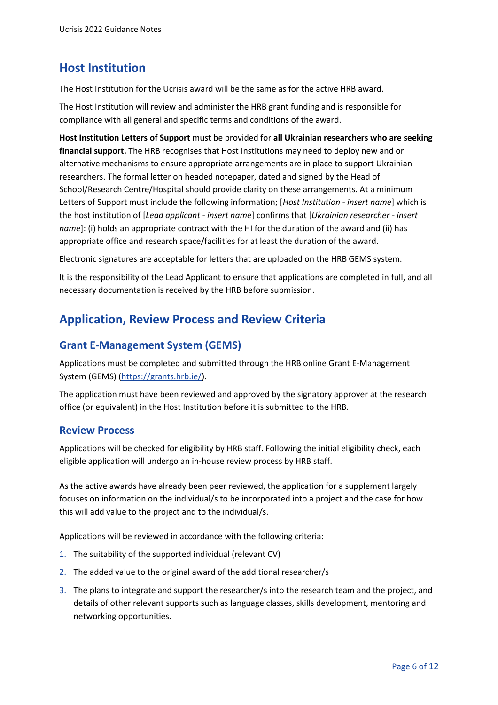#### <span id="page-6-0"></span>**Host Institution**

The Host Institution for the Ucrisis award will be the same as for the active HRB award.

The Host Institution will review and administer the HRB grant funding and is responsible for compliance with all general and specific terms and conditions of the award.

**Host Institution Letters of Support** must be provided for **all Ukrainian researchers who are seeking financial support.** The HRB recognises that Host Institutions may need to deploy new and or alternative mechanisms to ensure appropriate arrangements are in place to support Ukrainian researchers. The formal letter on headed notepaper, dated and signed by the Head of School/Research Centre/Hospital should provide clarity on these arrangements. At a minimum Letters of Support must include the following information; [*Host Institution - insert name*] which is the host institution of [*Lead applicant - insert name*] confirms that [*Ukrainian researcher - insert name*]: (i) holds an appropriate contract with the HI for the duration of the award and (ii) has appropriate office and research space/facilities for at least the duration of the award.

Electronic signatures are acceptable for letters that are uploaded on the HRB GEMS system.

It is the responsibility of the Lead Applicant to ensure that applications are completed in full, and all necessary documentation is received by the HRB before submission.

#### <span id="page-6-1"></span>**Application, Review Process and Review Criteria**

#### **Grant E-Management System (GEMS)**

Applications must be completed and submitted through the HRB online Grant E-Management System (GEMS) [\(https://grants.hrb.ie/\)](https://grants.hrb.ie/).

The application must have been reviewed and approved by the signatory approver at the research office (or equivalent) in the Host Institution before it is submitted to the HRB.

#### **Review Process**

Applications will be checked for eligibility by HRB staff. Following the initial eligibility check, each eligible application will undergo an in-house review process by HRB staff.

As the active awards have already been peer reviewed, the application for a supplement largely focuses on information on the individual/s to be incorporated into a project and the case for how this will add value to the project and to the individual/s.

Applications will be reviewed in accordance with the following criteria:

- 1. The suitability of the supported individual (relevant CV)
- 2. The added value to the original award of the additional researcher/s
- 3. The plans to integrate and support the researcher/s into the research team and the project, and details of other relevant supports such as language classes, skills development, mentoring and networking opportunities.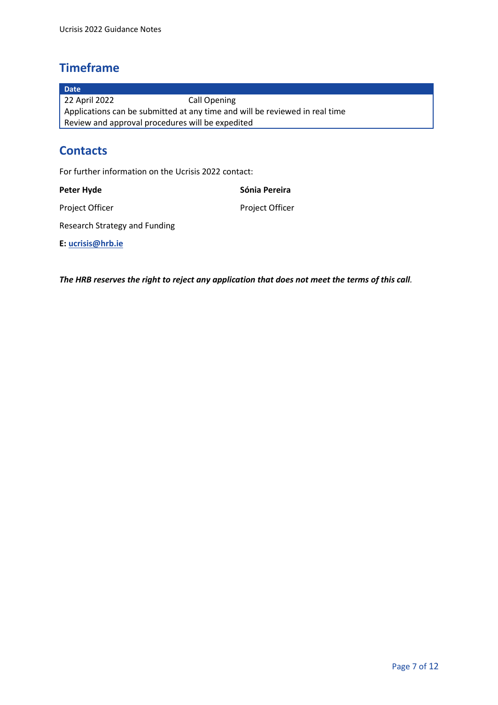## <span id="page-7-0"></span>**Timeframe**

**Date** 22 April 2022 Call Opening Applications can be submitted at any time and will be reviewed in real time Review and approval procedures will be expedited

## <span id="page-7-1"></span>**Contacts**

For further information on the Ucrisis 2022 contact:

| Peter Hyde                    | Sónia Pereira          |
|-------------------------------|------------------------|
| <b>Project Officer</b>        | <b>Project Officer</b> |
| Research Strategy and Funding |                        |
| E: ucrisis@hrb.ie             |                        |

*The HRB reserves the right to reject any application that does not meet the terms of this call.*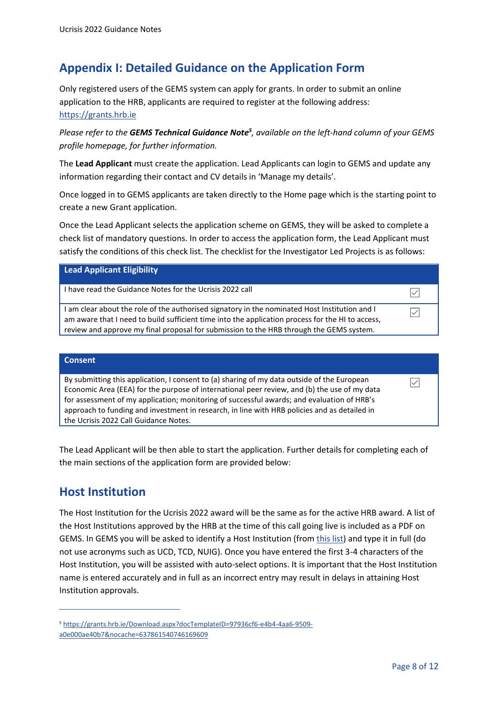## <span id="page-8-0"></span>**Appendix I: Detailed Guidance on the Application Form**

Only registered users of the GEMS system can apply for grants. In order to submit an online application to the HRB, applicants are required to register at the following address: [https://grants.hrb.ie](https://grants.hrb.ie/)

*Please refer to the GEMS Technical Guidance Note<sup>5</sup> , available on the left-hand column of your GEMS profile homepage, for further information.*

The **Lead Applicant** must create the application. Lead Applicants can login to GEMS and update any information regarding their contact and CV details in 'Manage my details'.

Once logged in to GEMS applicants are taken directly to the Home page which is the starting point to create a new Grant application.

Once the Lead Applicant selects the application scheme on GEMS, they will be asked to complete a check list of mandatory questions. In order to access the application form, the Lead Applicant must satisfy the conditions of this check list. The checklist for the Investigator Led Projects is as follows:

| <b>Lead Applicant Eligibility</b>                                                                                                                                                                                                                                                            |  |
|----------------------------------------------------------------------------------------------------------------------------------------------------------------------------------------------------------------------------------------------------------------------------------------------|--|
| I have read the Guidance Notes for the Ucrisis 2022 call                                                                                                                                                                                                                                     |  |
| I am clear about the role of the authorised signatory in the nominated Host Institution and I<br>am aware that I need to build sufficient time into the application process for the HI to access,<br>review and approve my final proposal for submission to the HRB through the GEMS system. |  |

#### **Consent**

By submitting this application, I consent to (a) sharing of my data outside of the European Economic Area (EEA) for the purpose of international peer review, and (b) the use of my data for assessment of my application; monitoring of successful awards; and evaluation of HRB's approach to funding and investment in research, in line with HRB policies and as detailed in the Ucrisis 2022 Call Guidance Notes.

The Lead Applicant will be then able to start the application. Further details for completing each of the main sections of the application form are provided below:

#### <span id="page-8-1"></span>**Host Institution**

The Host Institution for the Ucrisis 2022 award will be the same as for the active HRB award. A list of the Host Institutions approved by the HRB at the time of this call going live is included as a PDF on GEMS. In GEMS you will be asked to identify a Host Institution (from [this list\)](https://www.hrb.ie/funding/funding-schemes/before-you-apply/all-grant-policies/approval-of-host-institutions/) and type it in full (do not use acronyms such as UCD, TCD, NUIG). Once you have entered the first 3-4 characters of the Host Institution, you will be assisted with auto-select options. It is important that the Host Institution name is entered accurately and in full as an incorrect entry may result in delays in attaining Host Institution approvals.

 $\triangledown$ 

<sup>5</sup> [https://grants.hrb.ie/Download.aspx?docTemplateID=97936cf6-e4b4-4aa6-9509](https://grants.hrb.ie/Download.aspx?docTemplateID=97936cf6-e4b4-4aa6-9509-a0e000ae40b7&nocache=637861540746169609) [a0e000ae40b7&nocache=637861540746169609](https://grants.hrb.ie/Download.aspx?docTemplateID=97936cf6-e4b4-4aa6-9509-a0e000ae40b7&nocache=637861540746169609)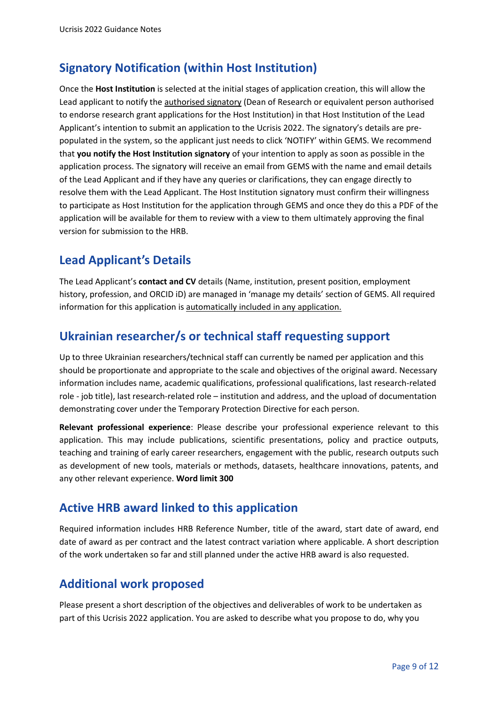## <span id="page-9-0"></span>**Signatory Notification (within Host Institution)**

Once the **Host Institution** is selected at the initial stages of application creation, this will allow the Lead applicant to notify the **authorised signatory** (Dean of Research or equivalent person authorised to endorse research grant applications for the Host Institution) in that Host Institution of the Lead Applicant's intention to submit an application to the Ucrisis 2022. The signatory's details are prepopulated in the system, so the applicant just needs to click 'NOTIFY' within GEMS. We recommend that **you notify the Host Institution signatory** of your intention to apply as soon as possible in the application process. The signatory will receive an email from GEMS with the name and email details of the Lead Applicant and if they have any queries or clarifications, they can engage directly to resolve them with the Lead Applicant. The Host Institution signatory must confirm their willingness to participate as Host Institution for the application through GEMS and once they do this a PDF of the application will be available for them to review with a view to them ultimately approving the final version for submission to the HRB.

## <span id="page-9-1"></span>**Lead Applicant's Details**

The Lead Applicant's **contact and CV** details (Name, institution, present position, employment history, profession, and ORCID iD) are managed in 'manage my details' section of GEMS. All required information for this application is automatically included in any application.

#### <span id="page-9-2"></span>**Ukrainian researcher/s or technical staff requesting support**

Up to three Ukrainian researchers/technical staff can currently be named per application and this should be proportionate and appropriate to the scale and objectives of the original award. Necessary information includes name, academic qualifications, professional qualifications, last research-related role - job title), last research-related role – institution and address, and the upload of documentation demonstrating cover under the Temporary Protection Directive for each person.

**Relevant professional experience**: Please describe your professional experience relevant to this application. This may include publications, scientific presentations, policy and practice outputs, teaching and training of early career researchers, engagement with the public, research outputs such as development of new tools, materials or methods, datasets, healthcare innovations, patents, and any other relevant experience. **Word limit 300** 

#### <span id="page-9-3"></span>**Active HRB award linked to this application**

Required information includes HRB Reference Number, title of the award, start date of award, end date of award as per contract and the latest contract variation where applicable. A short description of the work undertaken so far and still planned under the active HRB award is also requested.

## <span id="page-9-4"></span>**Additional work proposed**

Please present a short description of the objectives and deliverables of work to be undertaken as part of this Ucrisis 2022 application. You are asked to describe what you propose to do, why you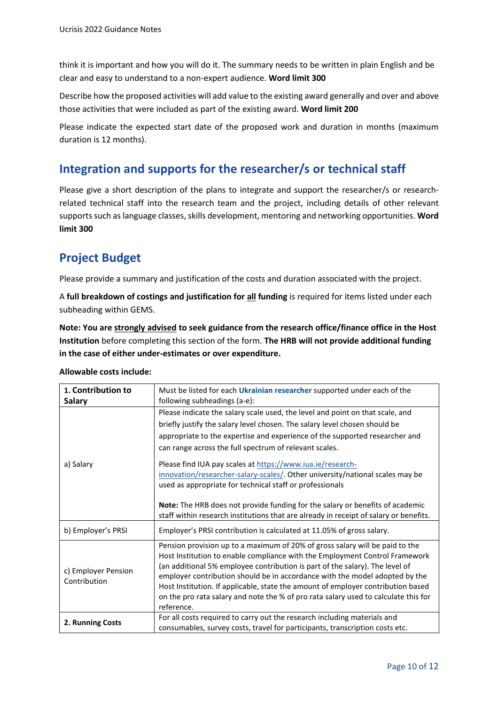think it is important and how you will do it. The summary needs to be written in plain English and be clear and easy to understand to a non-expert audience. **Word limit 300**

Describe how the proposed activities will add value to the existing award generally and over and above those activities that were included as part of the existing award. **Word limit 200**

Please indicate the expected start date of the proposed work and duration in months (maximum duration is 12 months).

#### <span id="page-10-0"></span>**Integration and supports for the researcher/s or technical staff**

Please give a short description of the plans to integrate and support the researcher/s or researchrelated technical staff into the research team and the project, including details of other relevant supportssuch as language classes, skills development, mentoring and networking opportunities. **Word limit 300**

## <span id="page-10-1"></span>**Project Budget**

Please provide a summary and justification of the costs and duration associated with the project.

A **full breakdown of costings and justification for all funding** is required for items listed under each subheading within GEMS.

**Note: You are strongly advised to seek guidance from the research office/finance office in the Host Institution** before completing this section of the form. **The HRB will not provide additional funding in the case of either under-estimates or over expenditure.**

| Allowable costs include: |  |  |  |
|--------------------------|--|--|--|
|--------------------------|--|--|--|

| 1. Contribution to<br><b>Salary</b> | Must be listed for each Ukrainian researcher supported under each of the<br>following subheadings (a-e):                                                                                                                                                                                                                                                                                                                                                                                                                                                                                                                                                                                  |
|-------------------------------------|-------------------------------------------------------------------------------------------------------------------------------------------------------------------------------------------------------------------------------------------------------------------------------------------------------------------------------------------------------------------------------------------------------------------------------------------------------------------------------------------------------------------------------------------------------------------------------------------------------------------------------------------------------------------------------------------|
| a) Salary                           | Please indicate the salary scale used, the level and point on that scale, and<br>briefly justify the salary level chosen. The salary level chosen should be<br>appropriate to the expertise and experience of the supported researcher and<br>can range across the full spectrum of relevant scales.<br>Please find IUA pay scales at https://www.iua.ie/research-<br>innovation/researcher-salary-scales/. Other university/national scales may be<br>used as appropriate for technical staff or professionals<br>Note: The HRB does not provide funding for the salary or benefits of academic<br>staff within research institutions that are already in receipt of salary or benefits. |
| b) Employer's PRSI                  | Employer's PRSI contribution is calculated at 11.05% of gross salary.                                                                                                                                                                                                                                                                                                                                                                                                                                                                                                                                                                                                                     |
| c) Employer Pension<br>Contribution | Pension provision up to a maximum of 20% of gross salary will be paid to the<br>Host Institution to enable compliance with the Employment Control Framework<br>(an additional 5% employee contribution is part of the salary). The level of<br>employer contribution should be in accordance with the model adopted by the<br>Host Institution. If applicable, state the amount of employer contribution based<br>on the pro rata salary and note the % of pro rata salary used to calculate this for<br>reference.                                                                                                                                                                       |
| 2. Running Costs                    | For all costs required to carry out the research including materials and<br>consumables, survey costs, travel for participants, transcription costs etc.                                                                                                                                                                                                                                                                                                                                                                                                                                                                                                                                  |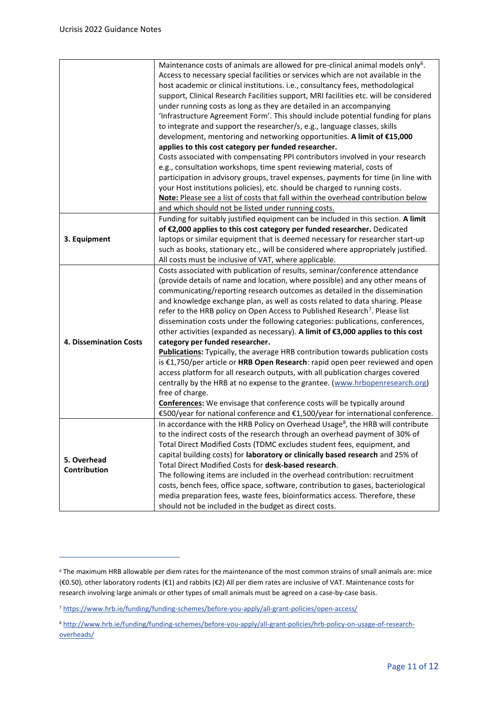|                               | Maintenance costs of animals are allowed for pre-clinical animal models only <sup>6</sup> .<br>Access to necessary special facilities or services which are not available in the<br>host academic or clinical institutions. i.e., consultancy fees, methodological<br>support, Clinical Research Facilities support, MRI facilities etc. will be considered<br>under running costs as long as they are detailed in an accompanying<br>'Infrastructure Agreement Form'. This should include potential funding for plans<br>to integrate and support the researcher/s, e.g., language classes, skills<br>development, mentoring and networking opportunities. A limit of €15,000<br>applies to this cost category per funded researcher.<br>Costs associated with compensating PPI contributors involved in your research<br>e.g., consultation workshops, time spent reviewing material, costs of<br>participation in advisory groups, travel expenses, payments for time (in line with<br>your Host institutions policies), etc. should be charged to running costs.<br>Note: Please see a list of costs that fall within the overhead contribution below            |
|-------------------------------|----------------------------------------------------------------------------------------------------------------------------------------------------------------------------------------------------------------------------------------------------------------------------------------------------------------------------------------------------------------------------------------------------------------------------------------------------------------------------------------------------------------------------------------------------------------------------------------------------------------------------------------------------------------------------------------------------------------------------------------------------------------------------------------------------------------------------------------------------------------------------------------------------------------------------------------------------------------------------------------------------------------------------------------------------------------------------------------------------------------------------------------------------------------------|
| 3. Equipment                  | and which should not be listed under running costs.<br>Funding for suitably justified equipment can be included in this section. A limit<br>of €2,000 applies to this cost category per funded researcher. Dedicated<br>laptops or similar equipment that is deemed necessary for researcher start-up<br>such as books, stationary etc., will be considered where appropriately justified.<br>All costs must be inclusive of VAT, where applicable.                                                                                                                                                                                                                                                                                                                                                                                                                                                                                                                                                                                                                                                                                                                  |
| <b>4. Dissemination Costs</b> | Costs associated with publication of results, seminar/conference attendance<br>(provide details of name and location, where possible) and any other means of<br>communicating/reporting research outcomes as detailed in the dissemination<br>and knowledge exchange plan, as well as costs related to data sharing. Please<br>refer to the HRB policy on Open Access to Published Research <sup>7</sup> . Please list<br>dissemination costs under the following categories: publications, conferences,<br>other activities (expanded as necessary). A limit of €3,000 applies to this cost<br>category per funded researcher.<br><b>Publications:</b> Typically, the average HRB contribution towards publication costs<br>is €1,750/per article or HRB Open Research: rapid open peer reviewed and open<br>access platform for all research outputs, with all publication charges covered<br>centrally by the HRB at no expense to the grantee. (www.hrbopenresearch.org)<br>free of charge.<br><b>Conferences:</b> We envisage that conference costs will be typically around<br>€500/year for national conference and €1,500/year for international conference. |
| 5. Overhead<br>Contribution   | In accordance with the HRB Policy on Overhead Usage <sup>8</sup> , the HRB will contribute<br>to the indirect costs of the research through an overhead payment of 30% of<br>Total Direct Modified Costs (TDMC excludes student fees, equipment, and<br>capital building costs) for laboratory or clinically based research and 25% of<br>Total Direct Modified Costs for desk-based research.<br>The following items are included in the overhead contribution: recruitment<br>costs, bench fees, office space, software, contribution to gases, bacteriological<br>media preparation fees, waste fees, bioinformatics access. Therefore, these<br>should not be included in the budget as direct costs.                                                                                                                                                                                                                                                                                                                                                                                                                                                            |

<sup>6</sup> The maximum HRB allowable per diem rates for the maintenance of the most common strains of small animals are: mice (€0.50), other laboratory rodents (€1) and rabbits (€2) All per diem rates are inclusive of VAT. Maintenance costs for research involving large animals or other types of small animals must be agreed on a case-by-case basis.

<sup>7</sup> <https://www.hrb.ie/funding/funding-schemes/before-you-apply/all-grant-policies/open-access/>

<sup>8</sup> [http://www.hrb.ie/funding/funding-schemes/before-you-apply/all-grant-policies/hrb-policy-on-usage-of-research](http://www.hrb.ie/funding/funding-schemes/before-you-apply/all-grant-policies/hrb-policy-on-usage-of-research-overheads/)[overheads/](http://www.hrb.ie/funding/funding-schemes/before-you-apply/all-grant-policies/hrb-policy-on-usage-of-research-overheads/)